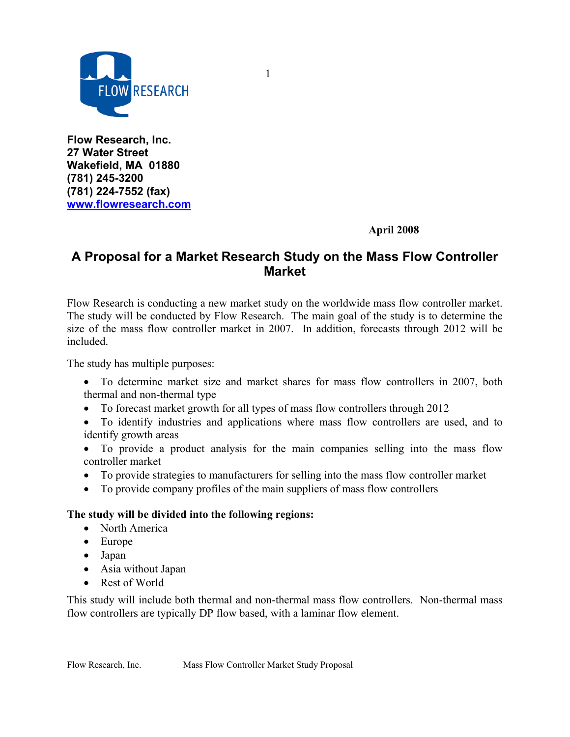

**Flow Research, Inc. 27 Water Street Wakefield, MA 01880 (781) 245-3200 (781) 224-7552 (fax) www.flowresearch.com** 

 **April 2008**

## **A Proposal for a Market Research Study on the Mass Flow Controller Market**

1

Flow Research is conducting a new market study on the worldwide mass flow controller market. The study will be conducted by Flow Research. The main goal of the study is to determine the size of the mass flow controller market in 2007. In addition, forecasts through 2012 will be included.

The study has multiple purposes:

- To determine market size and market shares for mass flow controllers in 2007, both thermal and non-thermal type
- To forecast market growth for all types of mass flow controllers through 2012
- To identify industries and applications where mass flow controllers are used, and to identify growth areas
- To provide a product analysis for the main companies selling into the mass flow controller market
- To provide strategies to manufacturers for selling into the mass flow controller market
- To provide company profiles of the main suppliers of mass flow controllers

#### **The study will be divided into the following regions:**

- North America
- Europe
- Japan
- Asia without Japan
- Rest of World

This study will include both thermal and non-thermal mass flow controllers. Non-thermal mass flow controllers are typically DP flow based, with a laminar flow element.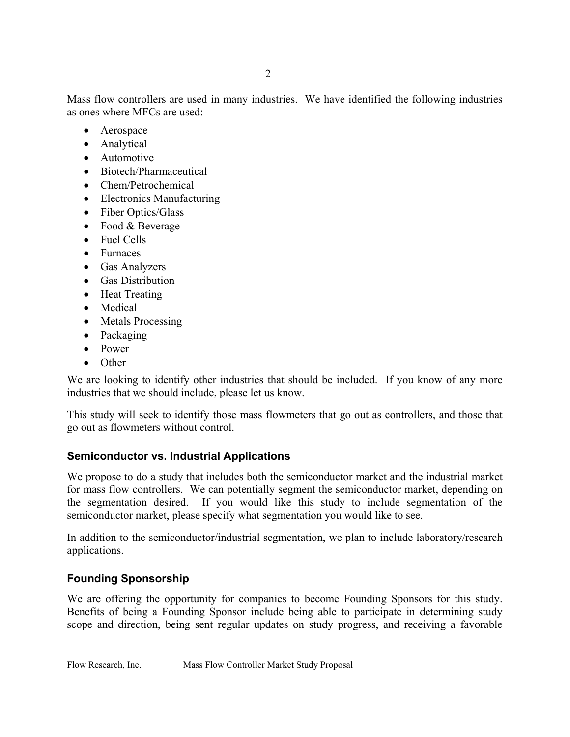Mass flow controllers are used in many industries. We have identified the following industries as ones where MFCs are used:

- Aerospace
- Analytical
- Automotive
- Biotech/Pharmaceutical
- Chem/Petrochemical
- Electronics Manufacturing
- Fiber Optics/Glass
- Food & Beverage
- Fuel Cells
- Furnaces
- Gas Analyzers
- Gas Distribution
- Heat Treating
- Medical
- Metals Processing
- Packaging
- Power
- Other

We are looking to identify other industries that should be included. If you know of any more industries that we should include, please let us know.

This study will seek to identify those mass flowmeters that go out as controllers, and those that go out as flowmeters without control.

#### **Semiconductor vs. Industrial Applications**

We propose to do a study that includes both the semiconductor market and the industrial market for mass flow controllers. We can potentially segment the semiconductor market, depending on the segmentation desired. If you would like this study to include segmentation of the semiconductor market, please specify what segmentation you would like to see.

In addition to the semiconductor/industrial segmentation, we plan to include laboratory/research applications.

#### **Founding Sponsorship**

We are offering the opportunity for companies to become Founding Sponsors for this study. Benefits of being a Founding Sponsor include being able to participate in determining study scope and direction, being sent regular updates on study progress, and receiving a favorable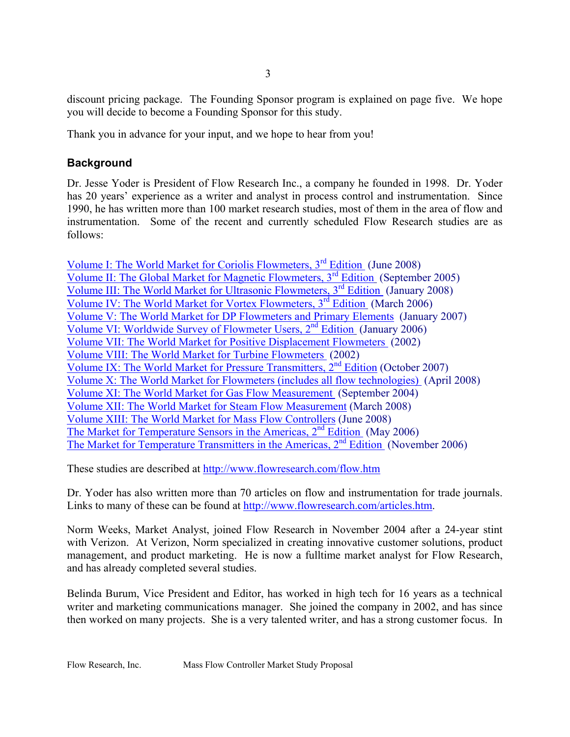discount pricing package. The Founding Sponsor program is explained on page five. We hope you will decide to become a Founding Sponsor for this study.

Thank you in advance for your input, and we hope to hear from you!

### **Background**

Dr. Jesse Yoder is President of Flow Research Inc., a company he founded in 1998. Dr. Yoder has 20 years' experience as a writer and analyst in process control and instrumentation. Since 1990, he has written more than 100 market research studies, most of them in the area of flow and instrumentation. Some of the recent and currently scheduled Flow Research studies are as follows:

Volume I: The World Market for Coriolis Flowmeters, 3rd Edition (June 2008) Volume II: The Global Market for Magnetic Flowmeters, 3rd Edition (September 2005) Volume III: The World Market for Ultrasonic Flowmeters, 3<sup>rd</sup> Edition (January 2008) Volume IV: The World Market for Vortex Flowmeters, 3<sup>rd</sup> Edition (March 2006) Volume V: The World Market for DP Flowmeters and Primary Elements (January 2007) Volume VI: Worldwide Survey of Flowmeter Users,  $2<sup>nd</sup>$  Edition (January 2006) Volume VII: The World Market for Positive Displacement Flowmeters (2002) Volume VIII: The World Market for Turbine Flowmeters (2002) Volume IX: The World Market for Pressure Transmitters,  $2<sup>nd</sup>$  Edition (October 2007) Volume X: The World Market for Flowmeters (includes all flow technologies) (April 2008) Volume XI: The World Market for Gas Flow Measurement (September 2004) Volume XII: The World Market for Steam Flow Measurement (March 2008) Volume XIII: The World Market for Mass Flow Controllers (June 2008) The Market for Temperature Sensors in the Americas, 2<sup>nd</sup> Edition (May 2006) The Market for Temperature Transmitters in the Americas,  $2<sup>nd</sup>$  Edition (November 2006)

These studies are described at http://www.flowresearch.com/flow.htm

Dr. Yoder has also written more than 70 articles on flow and instrumentation for trade journals. Links to many of these can be found at http://www.flowresearch.com/articles.htm.

Norm Weeks, Market Analyst, joined Flow Research in November 2004 after a 24-year stint with Verizon. At Verizon, Norm specialized in creating innovative customer solutions, product management, and product marketing. He is now a fulltime market analyst for Flow Research, and has already completed several studies.

Belinda Burum, Vice President and Editor, has worked in high tech for 16 years as a technical writer and marketing communications manager. She joined the company in 2002, and has since then worked on many projects. She is a very talented writer, and has a strong customer focus. In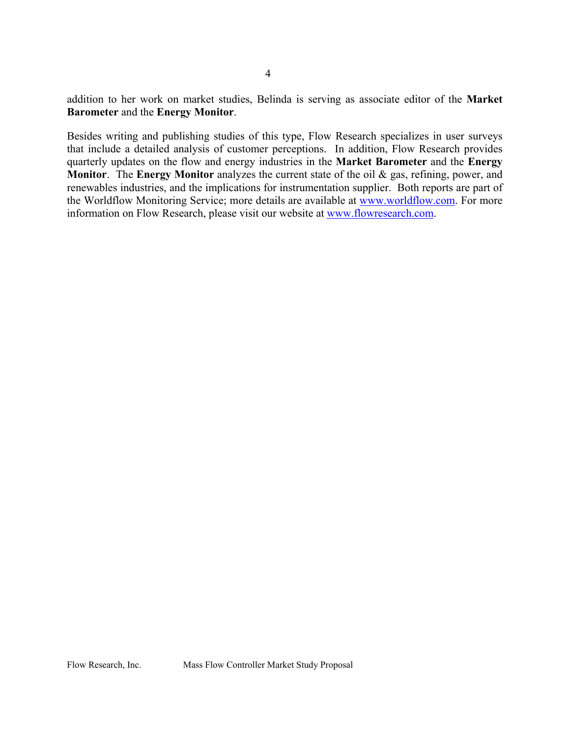addition to her work on market studies, Belinda is serving as associate editor of the **Market Barometer** and the **Energy Monitor**.

Besides writing and publishing studies of this type, Flow Research specializes in user surveys that include a detailed analysis of customer perceptions. In addition, Flow Research provides quarterly updates on the flow and energy industries in the **Market Barometer** and the **Energy Monitor**. The **Energy Monitor** analyzes the current state of the oil & gas, refining, power, and renewables industries, and the implications for instrumentation supplier. Both reports are part of the Worldflow Monitoring Service; more details are available at www.worldflow.com. For more information on Flow Research, please visit our website at www.flowresearch.com.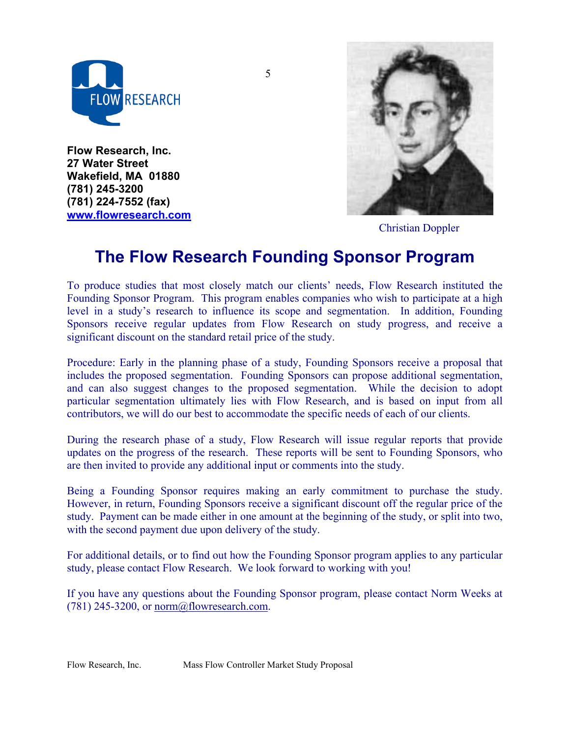

**Flow Research, Inc. 27 Water Street Wakefield, MA 01880 (781) 245-3200 (781) 224-7552 (fax) www.flowresearch.com** 



Christian Doppler

# **The Flow Research Founding Sponsor Program**

5

To produce studies that most closely match our clients' needs, Flow Research instituted the Founding Sponsor Program. This program enables companies who wish to participate at a high level in a study's research to influence its scope and segmentation. In addition, Founding Sponsors receive regular updates from Flow Research on study progress, and receive a significant discount on the standard retail price of the study.

Procedure: Early in the planning phase of a study, Founding Sponsors receive a proposal that includes the proposed segmentation. Founding Sponsors can propose additional segmentation, and can also suggest changes to the proposed segmentation. While the decision to adopt particular segmentation ultimately lies with Flow Research, and is based on input from all contributors, we will do our best to accommodate the specific needs of each of our clients.

During the research phase of a study, Flow Research will issue regular reports that provide updates on the progress of the research. These reports will be sent to Founding Sponsors, who are then invited to provide any additional input or comments into the study.

Being a Founding Sponsor requires making an early commitment to purchase the study. However, in return, Founding Sponsors receive a significant discount off the regular price of the study. Payment can be made either in one amount at the beginning of the study, or split into two, with the second payment due upon delivery of the study.

For additional details, or to find out how the Founding Sponsor program applies to any particular study, please contact Flow Research. We look forward to working with you!

If you have any questions about the Founding Sponsor program, please contact Norm Weeks at  $(781)$  245-3200, or norm@flowresearch.com.